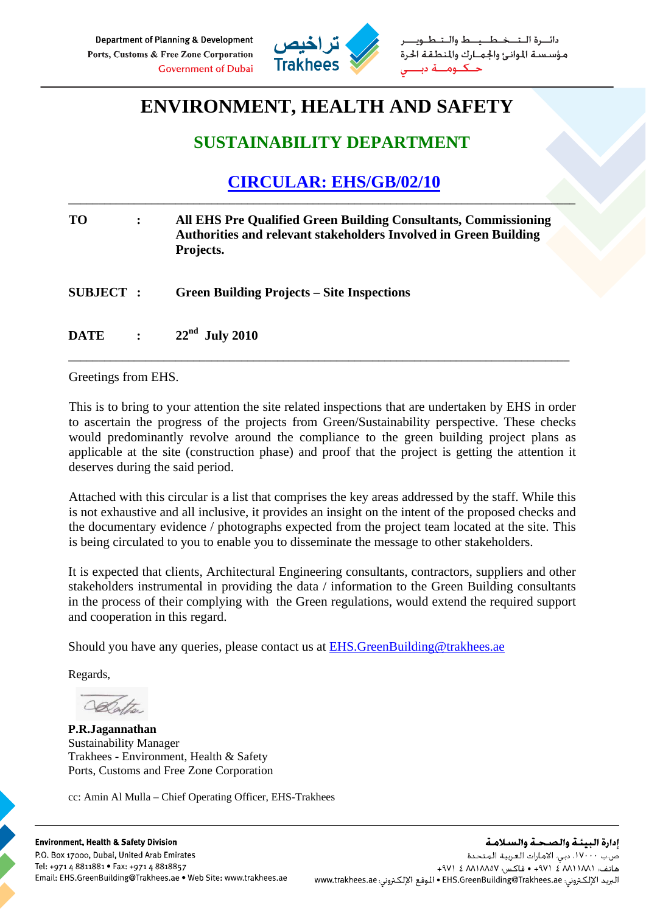

ط والــتـ مؤسستة الموانئ والجمارك والمنطقة الحرة

## **ENVIRONMENT, HEALTH AND SAFETY**

## **SUSTAINABILITY DEPARTMENT**

## **CIRCULAR: EHS/GB/02/10**

\_\_\_\_\_\_\_\_\_\_\_\_\_\_\_\_\_\_\_\_\_\_\_\_\_\_\_\_\_\_\_\_\_\_\_\_\_\_\_\_\_\_\_\_\_\_\_\_\_\_\_\_\_\_\_\_\_\_\_\_\_\_\_\_\_\_\_\_\_\_\_\_\_\_\_\_\_\_\_\_\_\_\_\_\_

| <b>TO</b>       | $\ddot{\cdot}$ | All EHS Pre Qualified Green Building Consultants, Commissioning<br><b>Authorities and relevant stakeholders Involved in Green Building</b><br>Projects. |
|-----------------|----------------|---------------------------------------------------------------------------------------------------------------------------------------------------------|
| <b>SUBJECT:</b> |                | <b>Green Building Projects – Site Inspections</b>                                                                                                       |
| <b>DATE</b>     | $\mathbf{L}$   | $22nd$ July 2010                                                                                                                                        |

\_\_\_\_\_\_\_\_\_\_\_\_\_\_\_\_\_\_\_\_\_\_\_\_\_\_\_\_\_\_\_\_\_\_\_\_\_\_\_\_\_\_\_\_\_\_\_\_\_\_\_\_\_\_\_\_\_\_\_\_\_\_\_\_\_\_\_\_\_\_\_\_\_\_\_\_\_\_\_\_\_\_\_\_

Greetings from EHS.

This is to bring to your attention the site related inspections that are undertaken by EHS in order to ascertain the progress of the projects from Green/Sustainability perspective. These checks would predominantly revolve around the compliance to the green building project plans as applicable at the site (construction phase) and proof that the project is getting the attention it deserves during the said period.

Attached with this circular is a list that comprises the key areas addressed by the staff. While this is not exhaustive and all inclusive, it provides an insight on the intent of the proposed checks and the documentary evidence / photographs expected from the project team located at the site. This is being circulated to you to enable you to disseminate the message to other stakeholders.

It is expected that clients, Architectural Engineering consultants, contractors, suppliers and other stakeholders instrumental in providing the data / information to the Green Building consultants in the process of their complying with the Green regulations, would extend the required support and cooperation in this regard.

Should you have any queries, please contact us at EHS.GreenBuilding@trakhees.ae

Regards,

**P.R.Jagannathan**  Sustainability Manager Trakhees - Environment, Health & Safety Ports, Customs and Free Zone Corporation

cc: Amin Al Mulla – Chief Operating Officer, EHS-Trakhees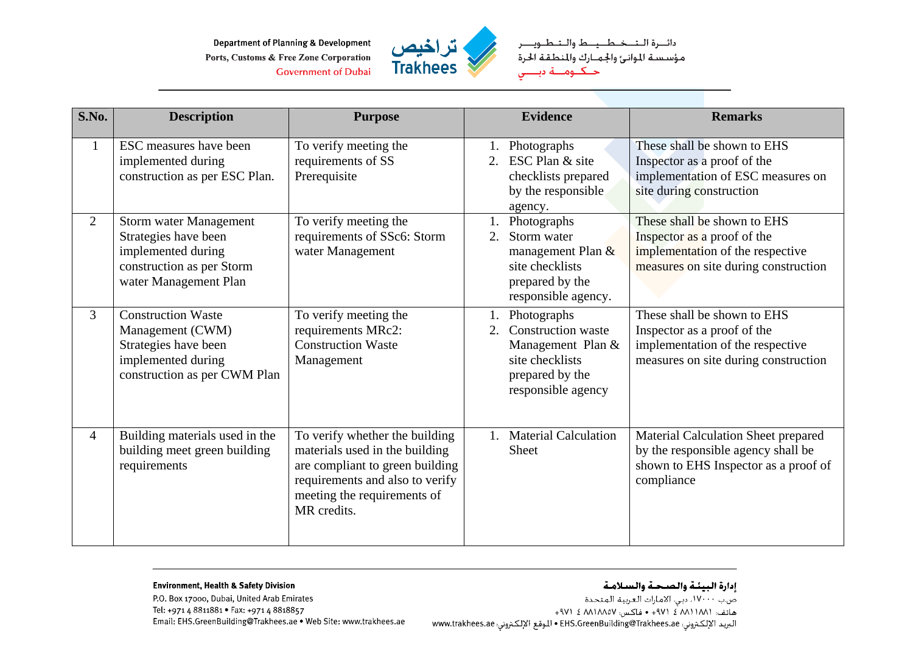**Department of Planning & Development** Ports, Customs & Free Zone Corporation **Government of Dubai** 



دائـــرة الــتـــخــطـــيـــط والــتــطــويــــر<br>مؤسـسـة الموانـئ والجـمــارك والمنطـقـة الحرة<br>حـــكـــومــــة دبــــــي

| S.No.          | <b>Description</b>                                                                                                                | <b>Purpose</b>                                                                                                                                                                       | <b>Evidence</b><br><b>Remarks</b>                                                                                                                                                                                                                                         |  |
|----------------|-----------------------------------------------------------------------------------------------------------------------------------|--------------------------------------------------------------------------------------------------------------------------------------------------------------------------------------|---------------------------------------------------------------------------------------------------------------------------------------------------------------------------------------------------------------------------------------------------------------------------|--|
| $\mathbf{1}$   | ESC measures have been<br>implemented during<br>construction as per ESC Plan.                                                     | To verify meeting the<br>requirements of SS<br>Prerequisite                                                                                                                          | These shall be shown to EHS<br>Photographs<br>ESC Plan & site<br>2.<br>Inspector as a proof of the<br>implementation of ESC measures on<br>checklists prepared<br>site during construction<br>by the responsible<br>agency.                                               |  |
| $\overline{2}$ | <b>Storm water Management</b><br>Strategies have been<br>implemented during<br>construction as per Storm<br>water Management Plan | To verify meeting the<br>requirements of SSc6: Storm<br>water Management                                                                                                             | These shall be shown to EHS<br>Photographs<br>Storm water<br>Inspector as a proof of the<br>2.<br>implementation of the respective<br>management Plan &<br>site checklists<br>measures on site during construction<br>prepared by the<br>responsible agency.              |  |
| $\overline{3}$ | <b>Construction Waste</b><br>Management (CWM)<br>Strategies have been<br>implemented during<br>construction as per CWM Plan       | To verify meeting the<br>requirements MRc2:<br><b>Construction Waste</b><br>Management                                                                                               | These shall be shown to EHS<br>Photographs<br><b>Construction</b> waste<br>Inspector as a proof of the<br>2.<br>implementation of the respective<br>Management Plan &<br>site checklists<br>measures on site during construction<br>prepared by the<br>responsible agency |  |
| 4              | Building materials used in the<br>building meet green building<br>requirements                                                    | To verify whether the building<br>materials used in the building<br>are compliant to green building<br>requirements and also to verify<br>meeting the requirements of<br>MR credits. | <b>Material Calculation</b><br>Material Calculation Sheet prepared<br>$1_{-}$<br>by the responsible agency shall be<br>Sheet<br>shown to EHS Inspector as a proof of<br>compliance                                                                                        |  |